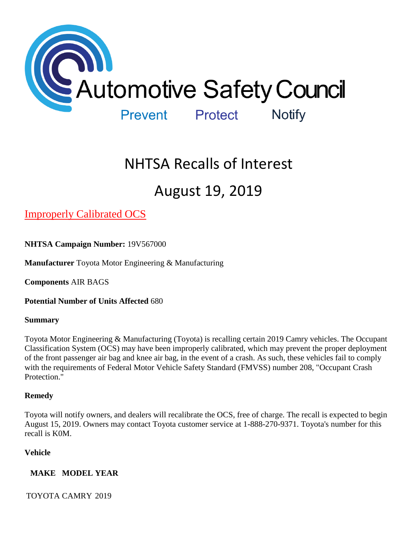

# NHTSA Recalls of Interest

## August 19, 2019

[Improperly Calibrated OCS](https://www.nhtsa.gov/recalls?nhtsaId=19V567#recalls650) 

**NHTSA Campaign Number:** 19V567000

**Manufacturer** Toyota Motor Engineering & Manufacturing

**Components** AIR BAGS

**Potential Number of Units Affected** 680

#### **Summary**

Toyota Motor Engineering & Manufacturing (Toyota) is recalling certain 2019 Camry vehicles. The Occupant Classification System (OCS) may have been improperly calibrated, which may prevent the proper deployment of the front passenger air bag and knee air bag, in the event of a crash. As such, these vehicles fail to comply with the requirements of Federal Motor Vehicle Safety Standard (FMVSS) number 208, "Occupant Crash Protection."

## **Remedy**

Toyota will notify owners, and dealers will recalibrate the OCS, free of charge. The recall is expected to begin August 15, 2019. Owners may contact Toyota customer service at 1-888-270-9371. Toyota's number for this recall is K0M.

## **Vehicle**

## **MAKE MODEL YEAR**

TOYOTA CAMRY 2019